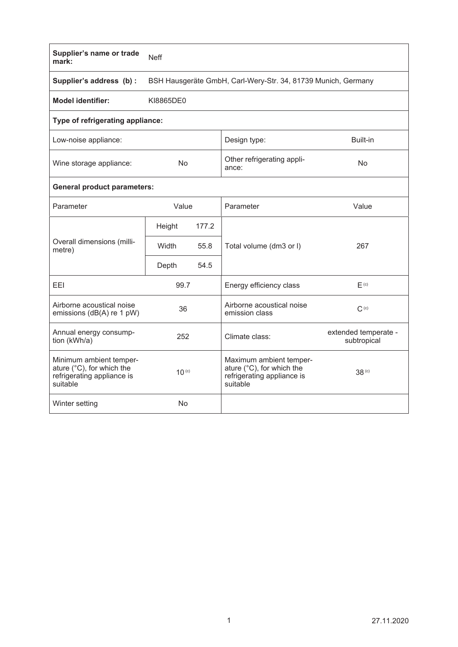| Supplier's name or trade<br>mark:                                                                        | <b>Neff</b>                                                   |       |                                                                                                |                                     |  |  |  |  |  |
|----------------------------------------------------------------------------------------------------------|---------------------------------------------------------------|-------|------------------------------------------------------------------------------------------------|-------------------------------------|--|--|--|--|--|
| Supplier's address (b) :                                                                                 | BSH Hausgeräte GmbH, Carl-Wery-Str. 34, 81739 Munich, Germany |       |                                                                                                |                                     |  |  |  |  |  |
| <b>Model identifier:</b>                                                                                 | KI8865DE0                                                     |       |                                                                                                |                                     |  |  |  |  |  |
| Type of refrigerating appliance:                                                                         |                                                               |       |                                                                                                |                                     |  |  |  |  |  |
| Low-noise appliance:                                                                                     |                                                               |       | Design type:                                                                                   | Built-in                            |  |  |  |  |  |
| Wine storage appliance:                                                                                  | <b>No</b>                                                     |       | Other refrigerating appli-<br>ance:                                                            | No                                  |  |  |  |  |  |
| <b>General product parameters:</b>                                                                       |                                                               |       |                                                                                                |                                     |  |  |  |  |  |
| Parameter                                                                                                | Value                                                         |       | Parameter                                                                                      | Value                               |  |  |  |  |  |
| Overall dimensions (milli-<br>metre)                                                                     | Height                                                        | 177.2 |                                                                                                |                                     |  |  |  |  |  |
|                                                                                                          | Width                                                         | 55.8  | Total volume (dm3 or I)                                                                        | 267                                 |  |  |  |  |  |
|                                                                                                          | Depth                                                         | 54.5  |                                                                                                |                                     |  |  |  |  |  |
| <b>FFI</b>                                                                                               | 99.7                                                          |       | Energy efficiency class                                                                        | F <sub>(c)</sub>                    |  |  |  |  |  |
| Airborne acoustical noise<br>emissions (dB(A) re 1 pW)                                                   | 36                                                            |       | Airborne acoustical noise<br>emission class                                                    | $C^{(c)}$                           |  |  |  |  |  |
| Annual energy consump-<br>tion (kWh/a)                                                                   | 252                                                           |       | Climate class:                                                                                 | extended temperate -<br>subtropical |  |  |  |  |  |
| Minimum ambient temper-<br>ature $(^{\circ}C)$ , for which the<br>refrigerating appliance is<br>suitable | $10^{(c)}$                                                    |       | Maximum ambient temper-<br>ature (°C), for which the<br>refrigerating appliance is<br>suitable | 38 <sup>(c)</sup>                   |  |  |  |  |  |
| Winter setting                                                                                           | <b>No</b>                                                     |       |                                                                                                |                                     |  |  |  |  |  |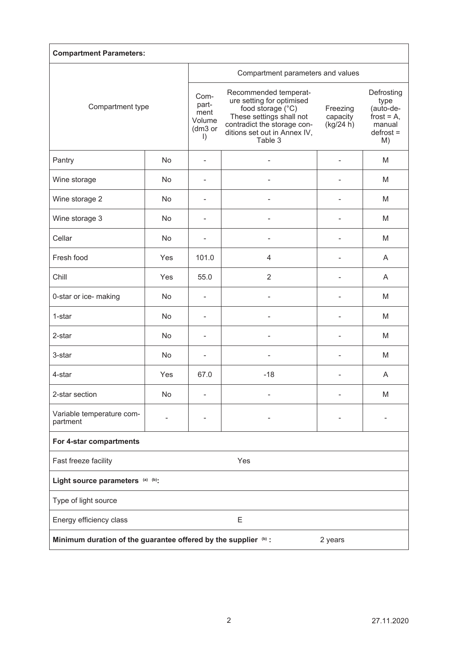| <b>Compartment Parameters:</b>                                             |     |                                                       |                                                                                                                                                                               |                                   |                                                                                 |  |  |  |  |
|----------------------------------------------------------------------------|-----|-------------------------------------------------------|-------------------------------------------------------------------------------------------------------------------------------------------------------------------------------|-----------------------------------|---------------------------------------------------------------------------------|--|--|--|--|
| Compartment type                                                           |     | Compartment parameters and values                     |                                                                                                                                                                               |                                   |                                                                                 |  |  |  |  |
|                                                                            |     | Com-<br>part-<br>ment<br>Volume<br>(dm3 or<br>$\vert$ | Recommended temperat-<br>ure setting for optimised<br>food storage (°C)<br>These settings shall not<br>contradict the storage con-<br>ditions set out in Annex IV,<br>Table 3 | Freezing<br>capacity<br>(kg/24 h) | Defrosting<br>type<br>(auto-de-<br>frost = $A$ ,<br>manual<br>$defrost =$<br>M) |  |  |  |  |
| Pantry                                                                     | No  |                                                       |                                                                                                                                                                               |                                   | M                                                                               |  |  |  |  |
| Wine storage                                                               | No  |                                                       |                                                                                                                                                                               |                                   | M                                                                               |  |  |  |  |
| Wine storage 2                                                             | No  |                                                       |                                                                                                                                                                               |                                   | M                                                                               |  |  |  |  |
| Wine storage 3                                                             | No  |                                                       |                                                                                                                                                                               |                                   | M                                                                               |  |  |  |  |
| Cellar                                                                     | No  |                                                       |                                                                                                                                                                               |                                   | M                                                                               |  |  |  |  |
| Fresh food                                                                 | Yes | 101.0                                                 | 4                                                                                                                                                                             | ۰                                 | A                                                                               |  |  |  |  |
| Chill                                                                      | Yes | 55.0                                                  | $\overline{2}$                                                                                                                                                                | $\blacksquare$                    | A                                                                               |  |  |  |  |
| 0-star or ice- making                                                      | No  | $\overline{\phantom{a}}$                              |                                                                                                                                                                               |                                   | M                                                                               |  |  |  |  |
| 1-star                                                                     | No  |                                                       |                                                                                                                                                                               |                                   | M                                                                               |  |  |  |  |
| 2-star                                                                     | No  |                                                       |                                                                                                                                                                               |                                   | M                                                                               |  |  |  |  |
| 3-star                                                                     | No  |                                                       |                                                                                                                                                                               |                                   | M                                                                               |  |  |  |  |
| 4-star                                                                     | Yes | 67.0                                                  | $-18$                                                                                                                                                                         |                                   | A                                                                               |  |  |  |  |
| 2-star section                                                             | No  |                                                       |                                                                                                                                                                               |                                   | M                                                                               |  |  |  |  |
| Variable temperature com-<br>partment                                      |     |                                                       |                                                                                                                                                                               |                                   |                                                                                 |  |  |  |  |
| For 4-star compartments                                                    |     |                                                       |                                                                                                                                                                               |                                   |                                                                                 |  |  |  |  |
| Fast freeze facility<br>Yes                                                |     |                                                       |                                                                                                                                                                               |                                   |                                                                                 |  |  |  |  |
| Light source parameters (a) (b):                                           |     |                                                       |                                                                                                                                                                               |                                   |                                                                                 |  |  |  |  |
| Type of light source                                                       |     |                                                       |                                                                                                                                                                               |                                   |                                                                                 |  |  |  |  |
| Ε<br>Energy efficiency class                                               |     |                                                       |                                                                                                                                                                               |                                   |                                                                                 |  |  |  |  |
| Minimum duration of the guarantee offered by the supplier (b) :<br>2 years |     |                                                       |                                                                                                                                                                               |                                   |                                                                                 |  |  |  |  |